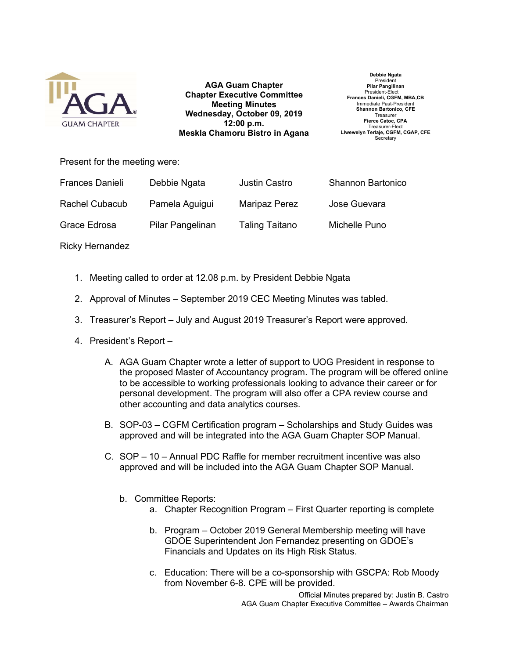

AGA Guam Chapter Chapter Executive Committee Meeting Minutes Wednesday, October 09, 2019 12:00 p.m. Meskla Chamoru Bistro in Agana

Debbie Ngata President Pilar Pangilinan President-Elect Frances Danieli, CGFM, MBA,CB Immediate Past-Presider Shannon Bartonico, CFE Treasurer Fierce Catoc, CPA Treasurer-Elect Llwewelyn Terlaje, CGFM, CGAP, CFE Secretary

Present for the meeting were:

| <b>Frances Danieli</b> | Debbie Ngata     | <b>Justin Castro</b> | <b>Shannon Bartonico</b> |
|------------------------|------------------|----------------------|--------------------------|
| Rachel Cubacub         | Pamela Aguigui   | <b>Maripaz Perez</b> | Jose Guevara             |
| Grace Edrosa           | Pilar Pangelinan | Taling Taitano       | Michelle Puno            |

Ricky Hernandez

- 1. Meeting called to order at 12.08 p.m. by President Debbie Ngata
- 2. Approval of Minutes September 2019 CEC Meeting Minutes was tabled.
- 3. Treasurer's Report July and August 2019 Treasurer's Report were approved.
- 4. President's Report
	- A. AGA Guam Chapter wrote a letter of support to UOG President in response to the proposed Master of Accountancy program. The program will be offered online to be accessible to working professionals looking to advance their career or for personal development. The program will also offer a CPA review course and other accounting and data analytics courses.
	- B. SOP-03 CGFM Certification program Scholarships and Study Guides was approved and will be integrated into the AGA Guam Chapter SOP Manual.
	- C. SOP 10 Annual PDC Raffle for member recruitment incentive was also approved and will be included into the AGA Guam Chapter SOP Manual.
		- b. Committee Reports:
			- a. Chapter Recognition Program First Quarter reporting is complete
			- b. Program October 2019 General Membership meeting will have GDOE Superintendent Jon Fernandez presenting on GDOE's Financials and Updates on its High Risk Status.
			- c. Education: There will be a co-sponsorship with GSCPA: Rob Moody from November 6-8. CPE will be provided.